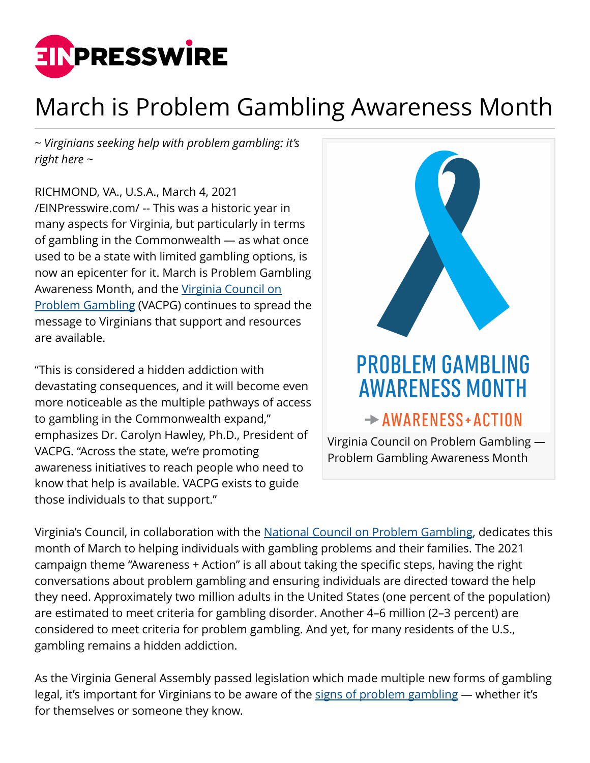

## March is Problem Gambling Awareness Month

*~ Virginians seeking help with problem gambling: it's right here ~*

RICHMOND, VA., U.S.A., March 4, 2021 [/EINPresswire.com/](http://www.einpresswire.com) -- This was a historic year in many aspects for Virginia, but particularly in terms of gambling in the Commonwealth — as what once used to be a state with limited gambling options, is now an epicenter for it. March is Problem Gambling Awareness Month, and the [Virginia Council on](http://www.vacpg.org/) [Problem Gambling](http://www.vacpg.org/) (VACPG) continues to spread the message to Virginians that support and resources are available.

"This is considered a hidden addiction with devastating consequences, and it will become even more noticeable as the multiple pathways of access to gambling in the Commonwealth expand," emphasizes Dr. Carolyn Hawley, Ph.D., President of VACPG. "Across the state, we're promoting awareness initiatives to reach people who need to know that help is available. VACPG exists to guide those individuals to that support."



Virginia's Council, in collaboration with the [National Council on Problem Gambling,](https://www.ncpgambling.org/) dedicates this month of March to helping individuals with gambling problems and their families. The 2021 campaign theme "Awareness + Action" is all about taking the specific steps, having the right conversations about problem gambling and ensuring individuals are directed toward the help they need. Approximately two million adults in the United States (one percent of the population) are estimated to meet criteria for gambling disorder. Another 4–6 million (2–3 percent) are considered to meet criteria for problem gambling. And yet, for many residents of the U.S., gambling remains a hidden addiction.

As the Virginia General Assembly passed legislation which made multiple new forms of gambling legal, it's important for Virginians to be aware of the [signs of problem gambling](http://www.vacpg.org/problem-gambling-defined.html) - whether it's for themselves or someone they know.